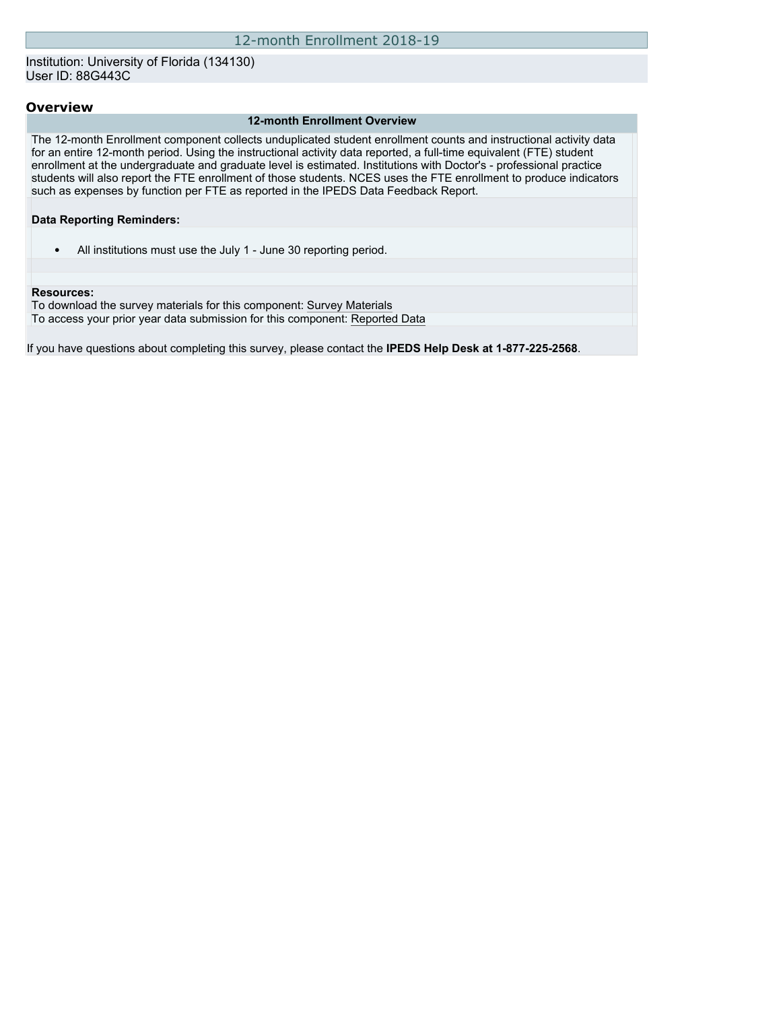Institution: University of Florida (134130) User ID: 88G443C

### **Overview**

#### **12-month Enrollment Overview**

The 12-month Enrollment component collects unduplicated student enrollment counts and instructional activity data for an entire 12-month period. Using the instructional activity data reported, a full-time equivalent (FTE) student enrollment at the undergraduate and graduate level is estimated. Institutions with Doctor's - professional practice students will also report the FTE enrollment of those students. NCES uses the FTE enrollment to produce indicators such as expenses by function per FTE as reported in the IPEDS Data Feedback Report.

#### **Data Reporting Reminders:**

• All institutions must use the July 1 - June 30 reporting period.

#### **Resources:**

To download the survey materials for this component: [Survey Materials](https://surveys.nces.ed.gov/ipeds/VisIndex.aspx) To access your prior year data submission for this component: [Reported Data](http://192.168.102.153/ipeds/PriorYearDataRedirect.aspx?survey_id=9)

If you have questions about completing this survey, please contact the **IPEDS Help Desk at 1-877-225-2568**.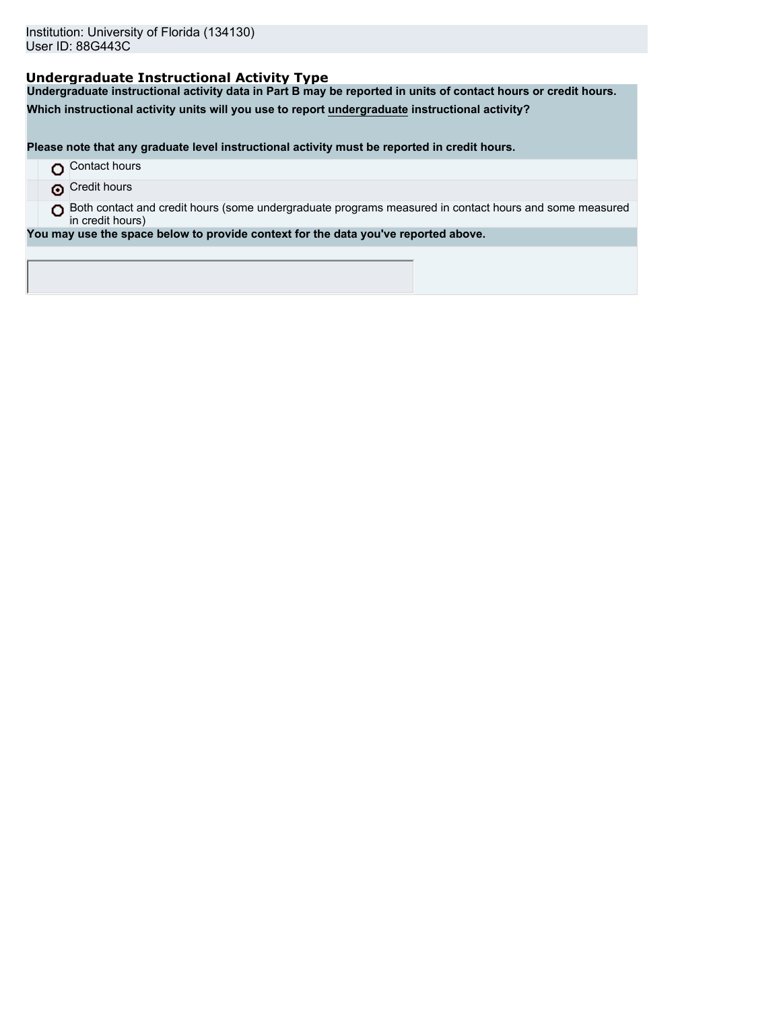# **Undergraduate Instructional Activity Type**

**Undergraduate instructional activity data in Part B may be reported in units of contact hours or credit hours.**

**Which instructional activity units will you use to report undergraduate instructional activity?**

**Please note that any graduate level instructional activity must be reported in credit hours.**

- **O** Contact hours
- **O** Credit hours

O Both contact and credit hours (some undergraduate programs measured in contact hours and some measured in credit hours)

**You may use the space below to provide context for the data you've reported above.**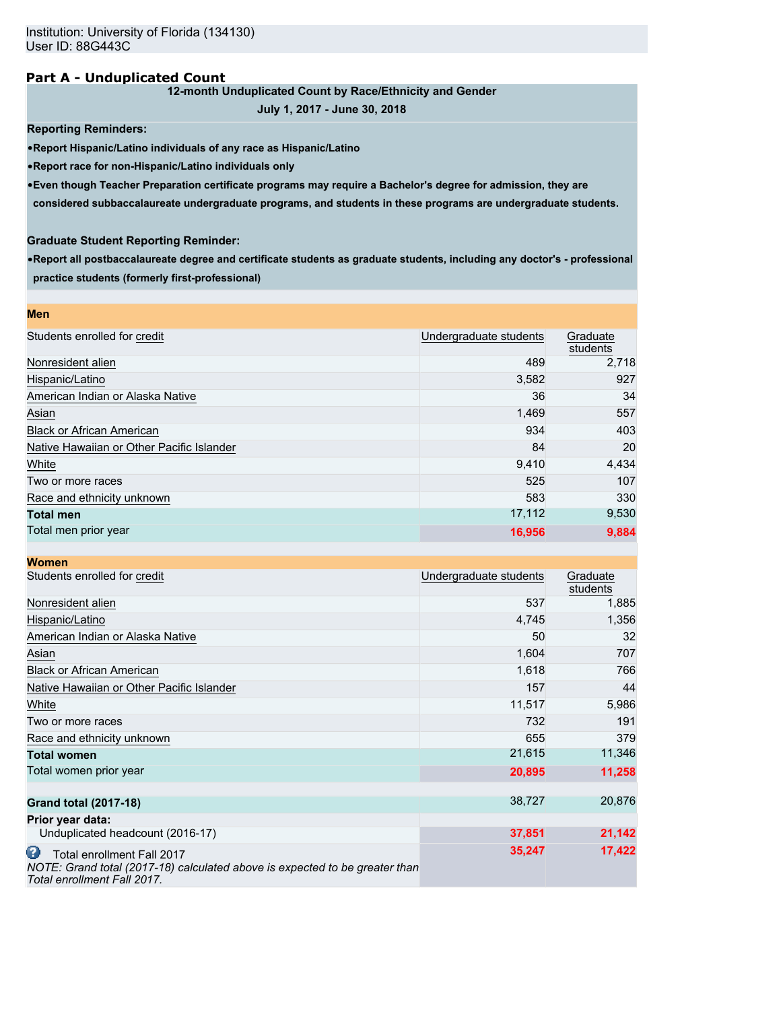### **Part A - Unduplicated Count**

### **12-month Unduplicated Count by Race/Ethnicity and Gender**

**July 1, 2017 - June 30, 2018**

**Reporting Reminders:**

•**Report Hispanic/Latino individuals of any race as Hispanic/Latino**

•**Report race for non-Hispanic/Latino individuals only**

•**Even though Teacher Preparation certificate programs may require a Bachelor's degree for admission, they are**

**considered subbaccalaureate undergraduate programs, and students in these programs are undergraduate students.**

### **Graduate Student Reporting Reminder:**

•**Report all postbaccalaureate degree and certificate students as graduate students, including any doctor's - professional practice students (formerly first-professional)**

| <b>Men</b>                                |                        |                      |
|-------------------------------------------|------------------------|----------------------|
| Students enrolled for credit              | Undergraduate students | Graduate<br>students |
| Nonresident alien                         | 489                    | 2,718                |
| Hispanic/Latino                           | 3,582                  | 927                  |
| American Indian or Alaska Native          | 36                     | 34                   |
| Asian                                     | 1,469                  | 557                  |
| <b>Black or African American</b>          | 934                    | 403                  |
| Native Hawaiian or Other Pacific Islander | 84                     | 20                   |
| White                                     | 9,410                  | 4,434                |
| Two or more races                         | 525                    | 107                  |
| Race and ethnicity unknown                | 583                    | 330                  |
| <b>Total men</b>                          | 17,112                 | 9,530                |
| Total men prior year                      | 16,956                 | 9,884                |

| <b>Women</b>                                                                                                                                  |                        |                      |
|-----------------------------------------------------------------------------------------------------------------------------------------------|------------------------|----------------------|
| Students enrolled for credit                                                                                                                  | Undergraduate students | Graduate<br>students |
| Nonresident alien                                                                                                                             | 537                    | 1,885                |
| Hispanic/Latino                                                                                                                               | 4,745                  | 1,356                |
| American Indian or Alaska Native                                                                                                              | 50                     | 32                   |
| Asian                                                                                                                                         | 1,604                  | 707                  |
| <b>Black or African American</b>                                                                                                              | 1,618                  | 766                  |
| Native Hawaiian or Other Pacific Islander                                                                                                     | 157                    | 44                   |
| White                                                                                                                                         | 11,517                 | 5,986                |
| Two or more races                                                                                                                             | 732                    | 191                  |
| Race and ethnicity unknown                                                                                                                    | 655                    | 379                  |
| <b>Total women</b>                                                                                                                            | 21,615                 | 11,346               |
| Total women prior year                                                                                                                        | 20,895                 | 11,258               |
| <b>Grand total (2017-18)</b>                                                                                                                  | 38,727                 | 20,876               |
| Prior year data:                                                                                                                              |                        |                      |
| Unduplicated headcount (2016-17)                                                                                                              | 37,851                 | 21,142               |
| ω<br>Total enrollment Fall 2017<br>NOTE: Grand total (2017-18) calculated above is expected to be greater than<br>Total enrollment Fall 2017. | 35,247                 | 17,422               |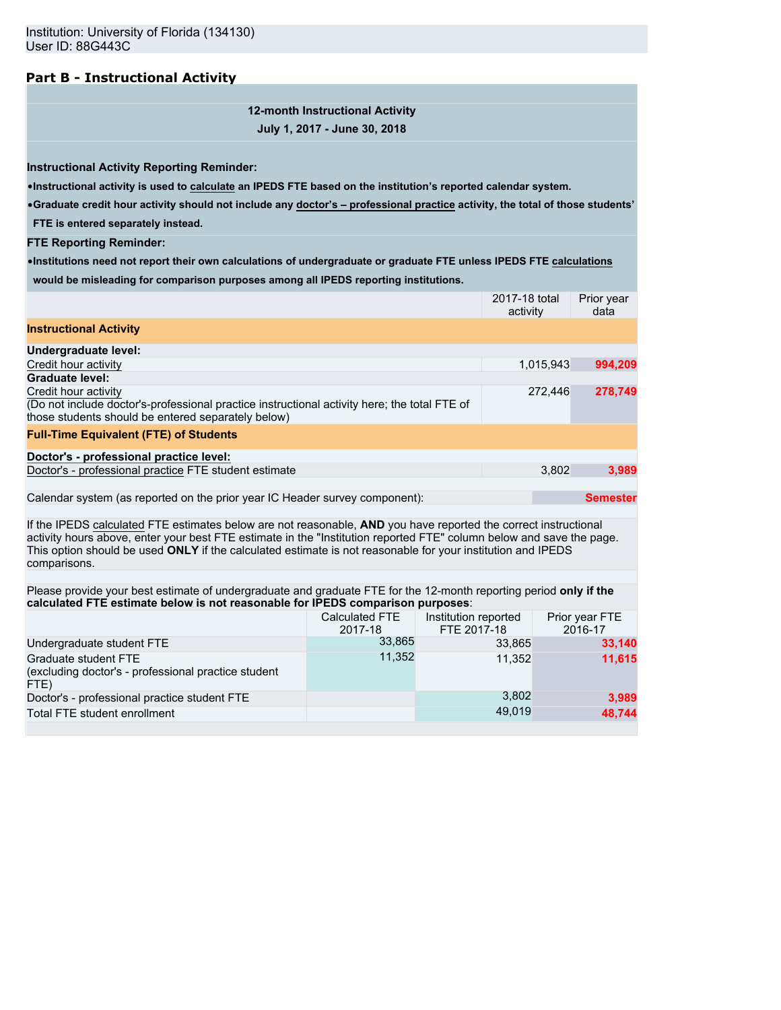# **Part B - Instructional Activity**

# **12-month Instructional Activity July 1, 2017 - June 30, 2018**

**Instructional Activity Reporting Reminder:**

•**Instructional activity is used to calculate an IPEDS FTE based on the institution's reported calendar system.**

•**Graduate credit hour activity should not include any doctor's – professional practice activity, the total of those students'**

**FTE is entered separately instead.**

**FTE Reporting Reminder:**

•**Institutions need not report their own calculations of undergraduate or graduate FTE unless IPEDS FTE calculations would be misleading for comparison purposes among all IPEDS reporting institutions.**

|                                                                                                                                                                                                                                                                                                                                                                        |                                  | 2017-18 total<br>activity           |           | Prior year<br>data        |
|------------------------------------------------------------------------------------------------------------------------------------------------------------------------------------------------------------------------------------------------------------------------------------------------------------------------------------------------------------------------|----------------------------------|-------------------------------------|-----------|---------------------------|
| <b>Instructional Activity</b>                                                                                                                                                                                                                                                                                                                                          |                                  |                                     |           |                           |
| Undergraduate level:                                                                                                                                                                                                                                                                                                                                                   |                                  |                                     |           |                           |
| Credit hour activity                                                                                                                                                                                                                                                                                                                                                   |                                  |                                     | 1,015,943 | 994,209                   |
| <b>Graduate level:</b>                                                                                                                                                                                                                                                                                                                                                 |                                  |                                     |           |                           |
| Credit hour activity<br>(Do not include doctor's-professional practice instructional activity here; the total FTE of<br>those students should be entered separately below)                                                                                                                                                                                             |                                  |                                     | 272,446   | 278,749                   |
| <b>Full-Time Equivalent (FTE) of Students</b>                                                                                                                                                                                                                                                                                                                          |                                  |                                     |           |                           |
| Doctor's - professional practice level:                                                                                                                                                                                                                                                                                                                                |                                  |                                     |           |                           |
| Doctor's - professional practice FTE student estimate                                                                                                                                                                                                                                                                                                                  |                                  |                                     | 3,802     | 3,989                     |
|                                                                                                                                                                                                                                                                                                                                                                        |                                  |                                     |           |                           |
| Calendar system (as reported on the prior year IC Header survey component):                                                                                                                                                                                                                                                                                            |                                  |                                     |           | <b>Semester</b>           |
| If the IPEDS calculated FTE estimates below are not reasonable, AND you have reported the correct instructional<br>activity hours above, enter your best FTE estimate in the "Institution reported FTE" column below and save the page.<br>This option should be used ONLY if the calculated estimate is not reasonable for your institution and IPEDS<br>comparisons. |                                  |                                     |           |                           |
| Please provide your best estimate of undergraduate and graduate FTE for the 12-month reporting period only if the<br>calculated FTE estimate below is not reasonable for IPEDS comparison purposes:                                                                                                                                                                    |                                  |                                     |           |                           |
|                                                                                                                                                                                                                                                                                                                                                                        | <b>Calculated FTE</b><br>2017-18 | Institution reported<br>FTE 2017-18 |           | Prior year FTE<br>2016-17 |
| Undergraduate student FTE                                                                                                                                                                                                                                                                                                                                              | 33,865                           | 33,865                              |           | 33,140                    |
| Graduate student FTE<br>(excluding doctor's - professional practice student<br>FTE)                                                                                                                                                                                                                                                                                    | 11,352                           | 11,352                              |           | 11,615                    |
| Doctor's - professional practice student FTE                                                                                                                                                                                                                                                                                                                           |                                  | 3,802                               |           | 3,989                     |
| Total FTE student enrollment                                                                                                                                                                                                                                                                                                                                           |                                  | 49,019                              |           | 48,744                    |
|                                                                                                                                                                                                                                                                                                                                                                        |                                  |                                     |           |                           |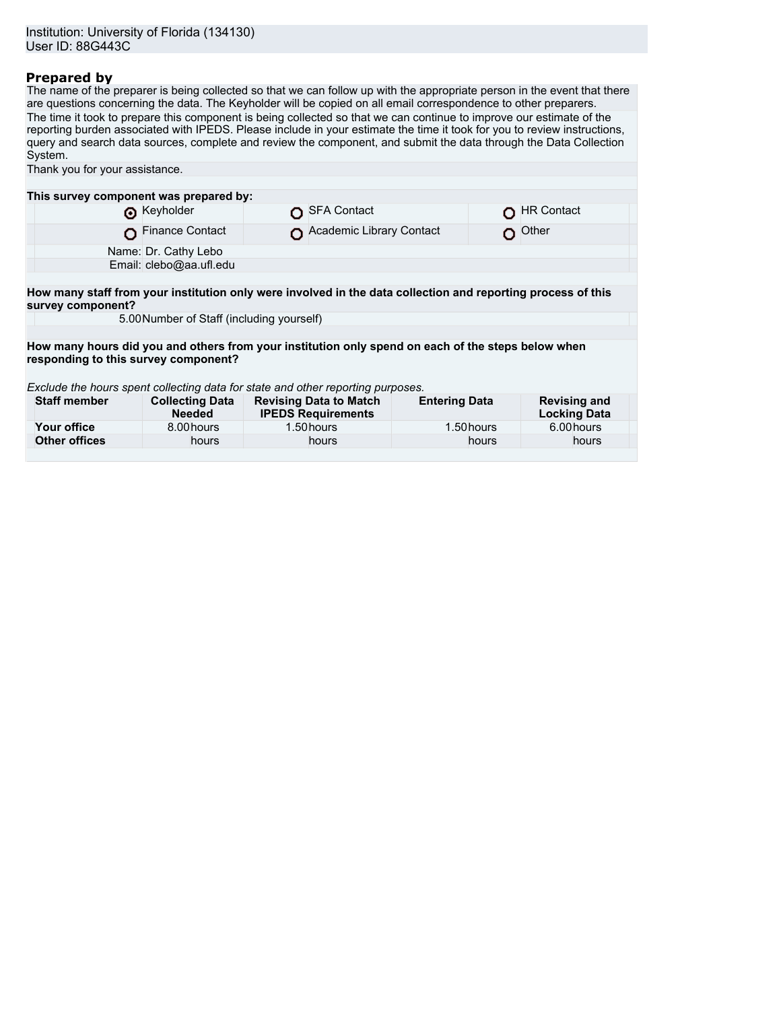## **Prepared by**

The name of the preparer is being collected so that we can follow up with the appropriate person in the event that there are questions concerning the data. The Keyholder will be copied on all email correspondence to other preparers. The time it took to prepare this component is being collected so that we can continue to improve our estimate of the reporting burden associated with IPEDS. Please include in your estimate the time it took for you to review instructions, query and search data sources, complete and review the component, and submit the data through the Data Collection System.

| Thank you for your assistance.                                                                                                    |                                           |  |                                                            |                                                                                                    |                                            |
|-----------------------------------------------------------------------------------------------------------------------------------|-------------------------------------------|--|------------------------------------------------------------|----------------------------------------------------------------------------------------------------|--------------------------------------------|
|                                                                                                                                   |                                           |  |                                                            |                                                                                                    |                                            |
| This survey component was prepared by:                                                                                            |                                           |  |                                                            |                                                                                                    |                                            |
|                                                                                                                                   | Reyholder                                 |  | <b>SFA Contact</b>                                         |                                                                                                    | <b>HR Contact</b>                          |
|                                                                                                                                   | Finance Contact                           |  | Academic Library Contact                                   |                                                                                                    | Other                                      |
|                                                                                                                                   | Name: Dr. Cathy Lebo                      |  |                                                            |                                                                                                    |                                            |
|                                                                                                                                   | Email: clebo@aa.ufl.edu                   |  |                                                            |                                                                                                    |                                            |
|                                                                                                                                   |                                           |  |                                                            |                                                                                                    |                                            |
| How many staff from your institution only were involved in the data collection and reporting process of this<br>survey component? |                                           |  |                                                            |                                                                                                    |                                            |
|                                                                                                                                   | 5.00 Number of Staff (including yourself) |  |                                                            |                                                                                                    |                                            |
|                                                                                                                                   |                                           |  |                                                            |                                                                                                    |                                            |
|                                                                                                                                   |                                           |  |                                                            | How many hours did you and others from your institution only spend on each of the steps below when |                                            |
| responding to this survey component?                                                                                              |                                           |  |                                                            |                                                                                                    |                                            |
| Exclude the hours spent collecting data for state and other reporting purposes.                                                   |                                           |  |                                                            |                                                                                                    |                                            |
| <b>Staff member</b>                                                                                                               | <b>Collecting Data</b><br><b>Needed</b>   |  | <b>Revising Data to Match</b><br><b>IPEDS Requirements</b> | <b>Entering Data</b>                                                                               | <b>Revising and</b><br><b>Locking Data</b> |
| Your office                                                                                                                       | 8.00 hours                                |  | 1.50 hours                                                 | 1.50 hours                                                                                         | 6.00 hours                                 |
| <b>Other offices</b>                                                                                                              | hours                                     |  | hours                                                      | hours                                                                                              | hours                                      |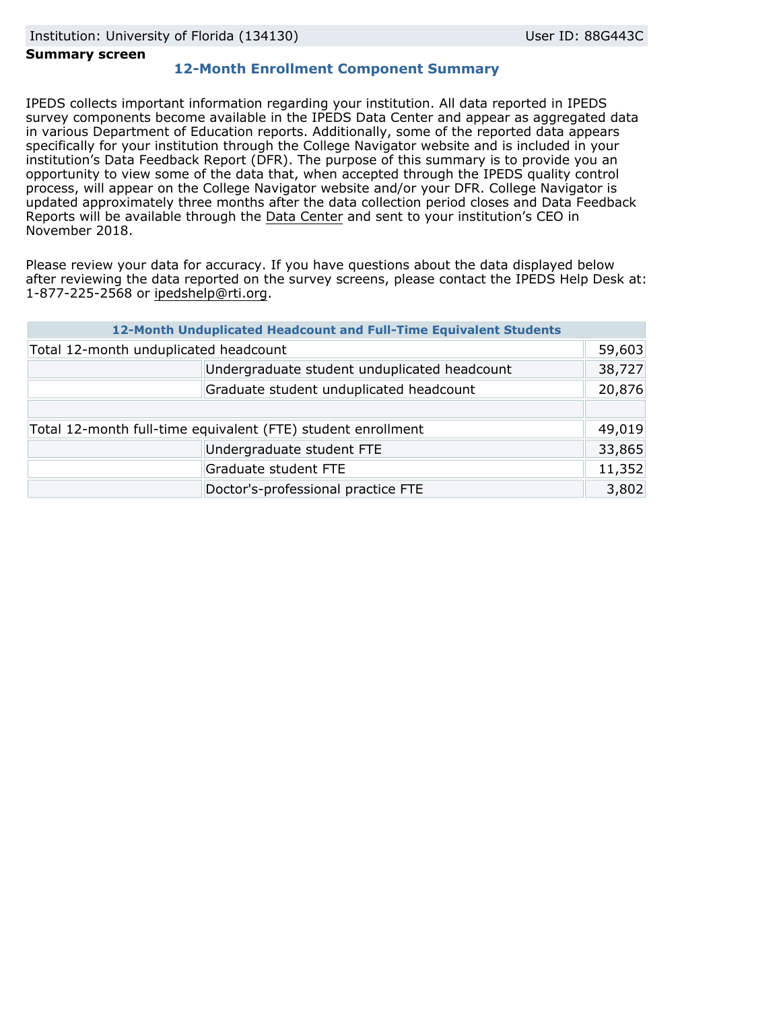### **Summary screen**

## **12-Month Enrollment Component Summary**

IPEDS collects important information regarding your institution. All data reported in IPEDS survey components become available in the IPEDS Data Center and appear as aggregated data in various Department of Education reports. Additionally, some of the reported data appears specifically for your institution through the College Navigator website and is included in your institution's Data Feedback Report (DFR). The purpose of this summary is to provide you an opportunity to view some of the data that, when accepted through the IPEDS quality control process, will appear on the College Navigator website and/or your DFR. College Navigator is updated approximately three months after the data collection period closes and Data Feedback Reports will be available through the [Data Center](https://nces.ed.gov/ipeds/use-the-data) and sent to your institution's CEO in November 2018.

Please review your data for accuracy. If you have questions about the data displayed below after reviewing the data reported on the survey screens, please contact the IPEDS Help Desk at: 1-877-225-2568 or ipedshelp@rti.org.

|                                                              | 12-Month Unduplicated Headcount and Full-Time Equivalent Students |        |
|--------------------------------------------------------------|-------------------------------------------------------------------|--------|
| Total 12-month unduplicated headcount                        |                                                                   | 59,603 |
|                                                              | Undergraduate student unduplicated headcount                      | 38,727 |
|                                                              | Graduate student unduplicated headcount                           | 20,876 |
|                                                              |                                                                   |        |
| Total 12-month full-time equivalent (FTE) student enrollment |                                                                   |        |
|                                                              | Undergraduate student FTE                                         | 33,865 |
|                                                              | Graduate student FTE                                              | 11,352 |
|                                                              | Doctor's-professional practice FTE                                | 3,802  |